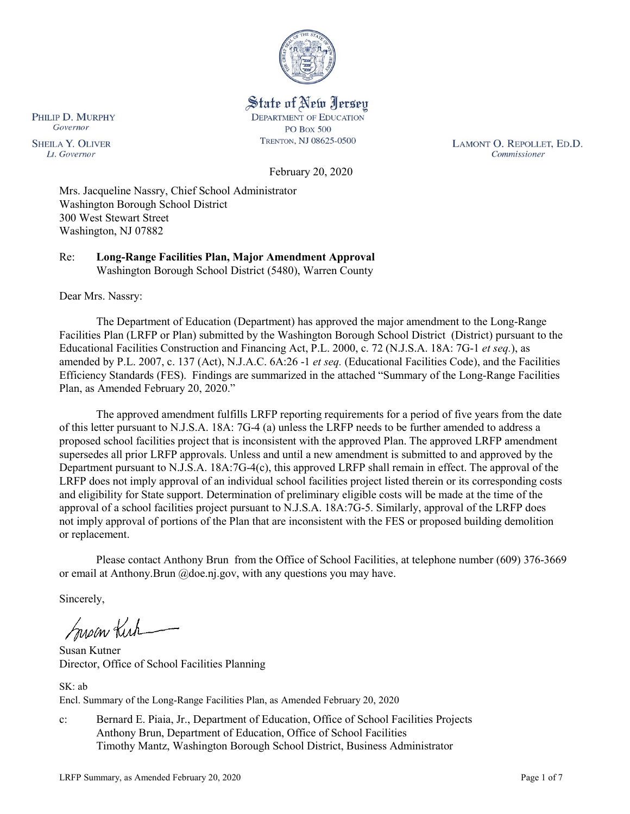

State of New Jersey **DEPARTMENT OF EDUCATION PO Box 500** 

TRENTON, NJ 08625-0500

LAMONT O. REPOLLET, ED.D. Commissioner

February 20, 2020

Mrs. Jacqueline Nassry, Chief School Administrator Washington Borough School District 300 West Stewart Street Washington, NJ 07882

Re: **Long-Range Facilities Plan, Major Amendment Approval** Washington Borough School District (5480), Warren County

Dear Mrs. Nassry:

PHILIP D. MURPHY

Governor

**SHEILA Y. OLIVER** 

Lt. Governor

The Department of Education (Department) has approved the major amendment to the Long-Range Facilities Plan (LRFP or Plan) submitted by the Washington Borough School District (District) pursuant to the Educational Facilities Construction and Financing Act, P.L. 2000, c. 72 (N.J.S.A. 18A: 7G-1 *et seq.*), as amended by P.L. 2007, c. 137 (Act), N.J.A.C. 6A:26 -1 *et seq.* (Educational Facilities Code), and the Facilities Efficiency Standards (FES). Findings are summarized in the attached "Summary of the Long-Range Facilities Plan, as Amended February 20, 2020."

The approved amendment fulfills LRFP reporting requirements for a period of five years from the date of this letter pursuant to N.J.S.A. 18A: 7G-4 (a) unless the LRFP needs to be further amended to address a proposed school facilities project that is inconsistent with the approved Plan. The approved LRFP amendment supersedes all prior LRFP approvals. Unless and until a new amendment is submitted to and approved by the Department pursuant to N.J.S.A. 18A:7G-4(c), this approved LRFP shall remain in effect. The approval of the LRFP does not imply approval of an individual school facilities project listed therein or its corresponding costs and eligibility for State support. Determination of preliminary eligible costs will be made at the time of the approval of a school facilities project pursuant to N.J.S.A. 18A:7G-5. Similarly, approval of the LRFP does not imply approval of portions of the Plan that are inconsistent with the FES or proposed building demolition or replacement.

Please contact Anthony Brun from the Office of School Facilities, at telephone number (609) 376-3669 or email at Anthony.Brun @doe.nj.gov, with any questions you may have.

Sincerely,

Inson Kirk

Susan Kutner Director, Office of School Facilities Planning

 $SK \cdot ah$ Encl. Summary of the Long-Range Facilities Plan, as Amended February 20, 2020

c: Bernard E. Piaia, Jr., Department of Education, Office of School Facilities Projects Anthony Brun, Department of Education, Office of School Facilities Timothy Mantz, Washington Borough School District, Business Administrator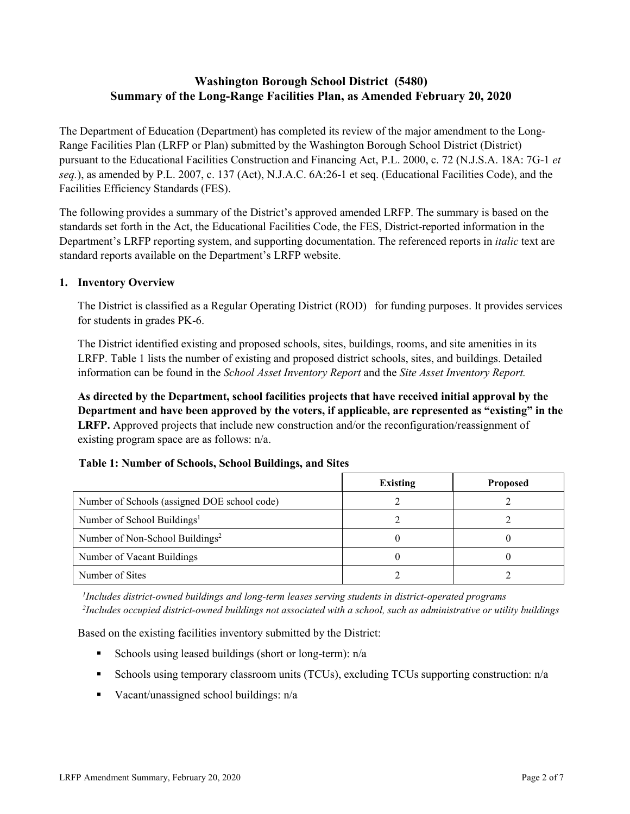# **Washington Borough School District (5480) Summary of the Long-Range Facilities Plan, as Amended February 20, 2020**

The Department of Education (Department) has completed its review of the major amendment to the Long-Range Facilities Plan (LRFP or Plan) submitted by the Washington Borough School District (District) pursuant to the Educational Facilities Construction and Financing Act, P.L. 2000, c. 72 (N.J.S.A. 18A: 7G-1 *et seq.*), as amended by P.L. 2007, c. 137 (Act), N.J.A.C. 6A:26-1 et seq. (Educational Facilities Code), and the Facilities Efficiency Standards (FES).

The following provides a summary of the District's approved amended LRFP. The summary is based on the standards set forth in the Act, the Educational Facilities Code, the FES, District-reported information in the Department's LRFP reporting system, and supporting documentation. The referenced reports in *italic* text are standard reports available on the Department's LRFP website.

### **1. Inventory Overview**

The District is classified as a Regular Operating District (ROD) for funding purposes. It provides services for students in grades PK-6.

The District identified existing and proposed schools, sites, buildings, rooms, and site amenities in its LRFP. Table 1 lists the number of existing and proposed district schools, sites, and buildings. Detailed information can be found in the *School Asset Inventory Report* and the *Site Asset Inventory Report.*

**As directed by the Department, school facilities projects that have received initial approval by the Department and have been approved by the voters, if applicable, are represented as "existing" in the LRFP.** Approved projects that include new construction and/or the reconfiguration/reassignment of existing program space are as follows: n/a.

|  |  | Table 1: Number of Schools, School Buildings, and Sites |  |
|--|--|---------------------------------------------------------|--|
|--|--|---------------------------------------------------------|--|

|                                              | <b>Existing</b> | <b>Proposed</b> |
|----------------------------------------------|-----------------|-----------------|
| Number of Schools (assigned DOE school code) |                 |                 |
| Number of School Buildings <sup>1</sup>      |                 |                 |
| Number of Non-School Buildings <sup>2</sup>  |                 |                 |
| Number of Vacant Buildings                   |                 |                 |
| Number of Sites                              |                 |                 |

*1 Includes district-owned buildings and long-term leases serving students in district-operated programs 2 Includes occupied district-owned buildings not associated with a school, such as administrative or utility buildings*

Based on the existing facilities inventory submitted by the District:

- Schools using leased buildings (short or long-term):  $n/a$
- Schools using temporary classroom units (TCUs), excluding TCUs supporting construction: n/a
- Vacant/unassigned school buildings:  $n/a$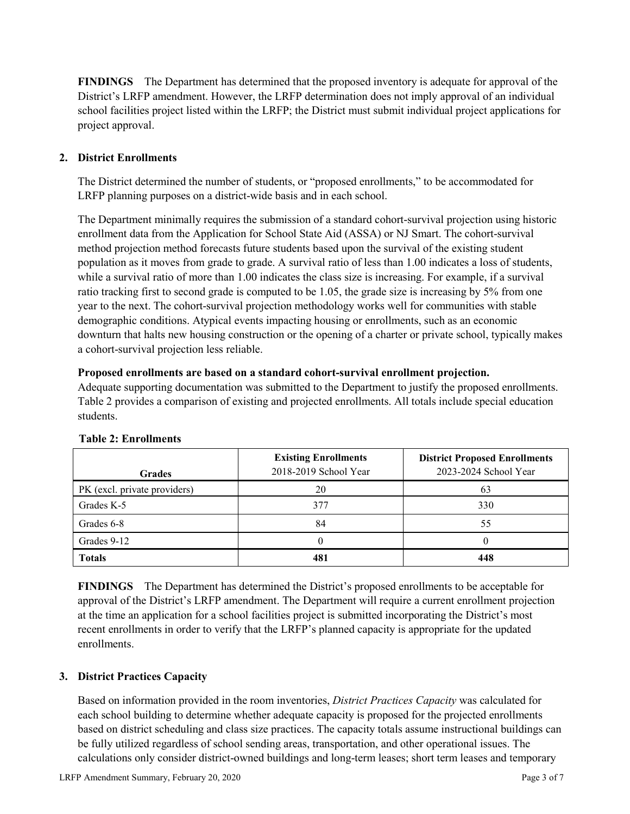**FINDINGS** The Department has determined that the proposed inventory is adequate for approval of the District's LRFP amendment. However, the LRFP determination does not imply approval of an individual school facilities project listed within the LRFP; the District must submit individual project applications for project approval.

## **2. District Enrollments**

The District determined the number of students, or "proposed enrollments," to be accommodated for LRFP planning purposes on a district-wide basis and in each school.

The Department minimally requires the submission of a standard cohort-survival projection using historic enrollment data from the Application for School State Aid (ASSA) or NJ Smart. The cohort-survival method projection method forecasts future students based upon the survival of the existing student population as it moves from grade to grade. A survival ratio of less than 1.00 indicates a loss of students, while a survival ratio of more than 1.00 indicates the class size is increasing. For example, if a survival ratio tracking first to second grade is computed to be 1.05, the grade size is increasing by 5% from one year to the next. The cohort-survival projection methodology works well for communities with stable demographic conditions. Atypical events impacting housing or enrollments, such as an economic downturn that halts new housing construction or the opening of a charter or private school, typically makes a cohort-survival projection less reliable.

### **Proposed enrollments are based on a standard cohort-survival enrollment projection.**

Adequate supporting documentation was submitted to the Department to justify the proposed enrollments. Table 2 provides a comparison of existing and projected enrollments. All totals include special education students.

| <b>Grades</b>                | <b>Existing Enrollments</b><br>2018-2019 School Year | <b>District Proposed Enrollments</b><br>2023-2024 School Year |
|------------------------------|------------------------------------------------------|---------------------------------------------------------------|
| PK (excl. private providers) | 20                                                   | 63                                                            |
| Grades K-5                   | 377                                                  | 330                                                           |
| Grades 6-8                   | 84                                                   | 55                                                            |
| Grades 9-12                  |                                                      |                                                               |
| <b>Totals</b>                | 481                                                  | 448                                                           |

## **Table 2: Enrollments**

**FINDINGS** The Department has determined the District's proposed enrollments to be acceptable for approval of the District's LRFP amendment. The Department will require a current enrollment projection at the time an application for a school facilities project is submitted incorporating the District's most recent enrollments in order to verify that the LRFP's planned capacity is appropriate for the updated enrollments.

## **3. District Practices Capacity**

Based on information provided in the room inventories, *District Practices Capacity* was calculated for each school building to determine whether adequate capacity is proposed for the projected enrollments based on district scheduling and class size practices. The capacity totals assume instructional buildings can be fully utilized regardless of school sending areas, transportation, and other operational issues. The calculations only consider district-owned buildings and long-term leases; short term leases and temporary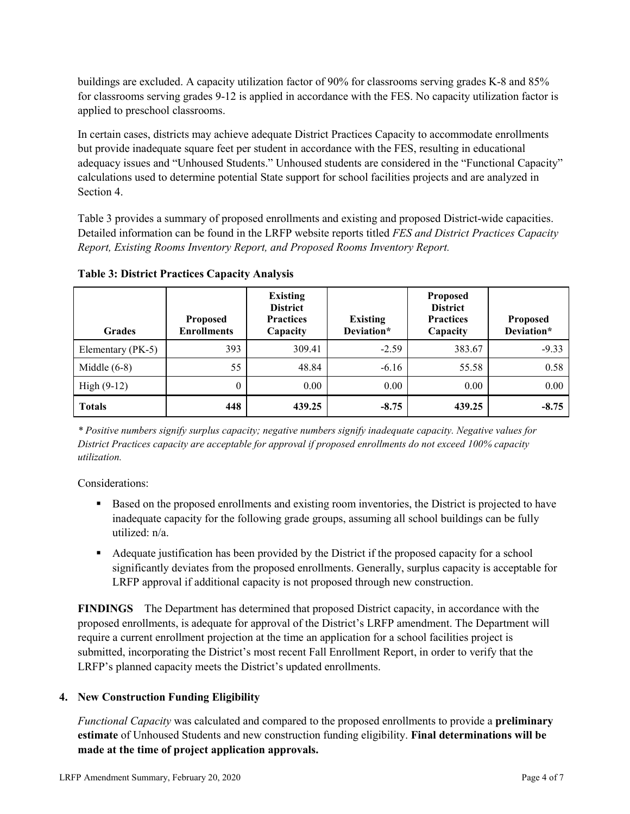buildings are excluded. A capacity utilization factor of 90% for classrooms serving grades K-8 and 85% for classrooms serving grades 9-12 is applied in accordance with the FES. No capacity utilization factor is applied to preschool classrooms.

In certain cases, districts may achieve adequate District Practices Capacity to accommodate enrollments but provide inadequate square feet per student in accordance with the FES, resulting in educational adequacy issues and "Unhoused Students." Unhoused students are considered in the "Functional Capacity" calculations used to determine potential State support for school facilities projects and are analyzed in Section 4.

Table 3 provides a summary of proposed enrollments and existing and proposed District-wide capacities. Detailed information can be found in the LRFP website reports titled *FES and District Practices Capacity Report, Existing Rooms Inventory Report, and Proposed Rooms Inventory Report.*

| <b>Grades</b>     | <b>Proposed</b><br><b>Enrollments</b> | <b>Existing</b><br><b>District</b><br><b>Practices</b><br>Capacity | <b>Existing</b><br>Deviation* | <b>Proposed</b><br><b>District</b><br><b>Practices</b><br>Capacity | Proposed<br>Deviation* |
|-------------------|---------------------------------------|--------------------------------------------------------------------|-------------------------------|--------------------------------------------------------------------|------------------------|
| Elementary (PK-5) | 393                                   | 309.41                                                             | $-2.59$                       | 383.67                                                             | $-9.33$                |
| Middle $(6-8)$    | 55                                    | 48.84                                                              | $-6.16$                       | 55.58                                                              | 0.58                   |
| High $(9-12)$     | $\theta$                              | 0.00                                                               | 0.00                          | 0.00                                                               | 0.00                   |
| <b>Totals</b>     | 448                                   | 439.25                                                             | $-8.75$                       | 439.25                                                             | $-8.75$                |

**Table 3: District Practices Capacity Analysis**

*\* Positive numbers signify surplus capacity; negative numbers signify inadequate capacity. Negative values for District Practices capacity are acceptable for approval if proposed enrollments do not exceed 100% capacity utilization.*

Considerations:

- **Based on the proposed enrollments and existing room inventories, the District is projected to have** inadequate capacity for the following grade groups, assuming all school buildings can be fully utilized: n/a.
- Adequate justification has been provided by the District if the proposed capacity for a school significantly deviates from the proposed enrollments. Generally, surplus capacity is acceptable for LRFP approval if additional capacity is not proposed through new construction.

**FINDINGS**The Department has determined that proposed District capacity, in accordance with the proposed enrollments, is adequate for approval of the District's LRFP amendment. The Department will require a current enrollment projection at the time an application for a school facilities project is submitted, incorporating the District's most recent Fall Enrollment Report, in order to verify that the LRFP's planned capacity meets the District's updated enrollments.

# **4. New Construction Funding Eligibility**

*Functional Capacity* was calculated and compared to the proposed enrollments to provide a **preliminary estimate** of Unhoused Students and new construction funding eligibility. **Final determinations will be made at the time of project application approvals.**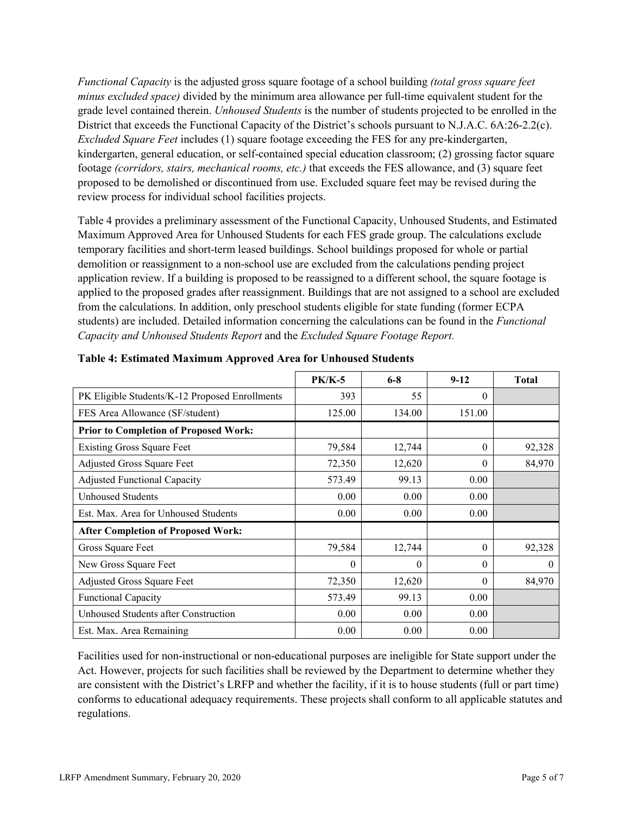*Functional Capacity* is the adjusted gross square footage of a school building *(total gross square feet minus excluded space)* divided by the minimum area allowance per full-time equivalent student for the grade level contained therein. *Unhoused Students* is the number of students projected to be enrolled in the District that exceeds the Functional Capacity of the District's schools pursuant to N.J.A.C. 6A:26-2.2(c). *Excluded Square Feet* includes (1) square footage exceeding the FES for any pre-kindergarten, kindergarten, general education, or self-contained special education classroom; (2) grossing factor square footage *(corridors, stairs, mechanical rooms, etc.)* that exceeds the FES allowance, and (3) square feet proposed to be demolished or discontinued from use. Excluded square feet may be revised during the review process for individual school facilities projects.

Table 4 provides a preliminary assessment of the Functional Capacity, Unhoused Students, and Estimated Maximum Approved Area for Unhoused Students for each FES grade group. The calculations exclude temporary facilities and short-term leased buildings. School buildings proposed for whole or partial demolition or reassignment to a non-school use are excluded from the calculations pending project application review. If a building is proposed to be reassigned to a different school, the square footage is applied to the proposed grades after reassignment. Buildings that are not assigned to a school are excluded from the calculations. In addition, only preschool students eligible for state funding (former ECPA students) are included. Detailed information concerning the calculations can be found in the *Functional Capacity and Unhoused Students Report* and the *Excluded Square Footage Report.*

|                                                | <b>PK/K-5</b> | $6 - 8$  | $9 - 12$ | <b>Total</b> |
|------------------------------------------------|---------------|----------|----------|--------------|
| PK Eligible Students/K-12 Proposed Enrollments | 393           | 55       | $\Omega$ |              |
| FES Area Allowance (SF/student)                | 125.00        | 134.00   | 151.00   |              |
| <b>Prior to Completion of Proposed Work:</b>   |               |          |          |              |
| <b>Existing Gross Square Feet</b>              | 79,584        | 12,744   | $\theta$ | 92,328       |
| Adjusted Gross Square Feet                     | 72,350        | 12,620   | $\theta$ | 84,970       |
| <b>Adjusted Functional Capacity</b>            | 573.49        | 99.13    | 0.00     |              |
| Unhoused Students                              | 0.00          | 0.00     | 0.00     |              |
| Est. Max. Area for Unhoused Students           | 0.00          | 0.00     | 0.00     |              |
| <b>After Completion of Proposed Work:</b>      |               |          |          |              |
| Gross Square Feet                              | 79,584        | 12,744   | $\theta$ | 92,328       |
| New Gross Square Feet                          | $\theta$      | $\theta$ | $\Omega$ | 0            |
| <b>Adjusted Gross Square Feet</b>              | 72,350        | 12,620   | $\theta$ | 84,970       |
| Functional Capacity                            | 573.49        | 99.13    | 0.00     |              |
| Unhoused Students after Construction           | 0.00          | 0.00     | 0.00     |              |
| Est. Max. Area Remaining                       | 0.00          | 0.00     | 0.00     |              |

|  |  | Table 4: Estimated Maximum Approved Area for Unhoused Students |  |
|--|--|----------------------------------------------------------------|--|
|  |  |                                                                |  |

Facilities used for non-instructional or non-educational purposes are ineligible for State support under the Act. However, projects for such facilities shall be reviewed by the Department to determine whether they are consistent with the District's LRFP and whether the facility, if it is to house students (full or part time) conforms to educational adequacy requirements. These projects shall conform to all applicable statutes and regulations.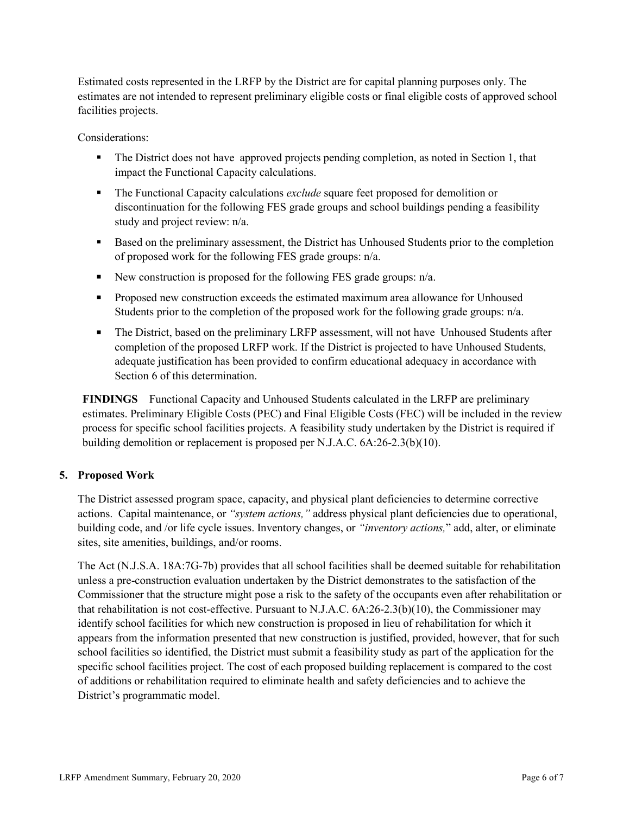Estimated costs represented in the LRFP by the District are for capital planning purposes only. The estimates are not intended to represent preliminary eligible costs or final eligible costs of approved school facilities projects.

Considerations:

- The District does not have approved projects pending completion, as noted in Section 1, that impact the Functional Capacity calculations.
- The Functional Capacity calculations *exclude* square feet proposed for demolition or discontinuation for the following FES grade groups and school buildings pending a feasibility study and project review: n/a.
- **Based on the preliminary assessment, the District has Unhoused Students prior to the completion** of proposed work for the following FES grade groups: n/a.
- New construction is proposed for the following FES grade groups:  $n/a$ .
- **Proposed new construction exceeds the estimated maximum area allowance for Unhoused** Students prior to the completion of the proposed work for the following grade groups: n/a.
- The District, based on the preliminary LRFP assessment, will not have Unhoused Students after completion of the proposed LRFP work. If the District is projected to have Unhoused Students, adequate justification has been provided to confirm educational adequacy in accordance with Section 6 of this determination.

**FINDINGS** Functional Capacity and Unhoused Students calculated in the LRFP are preliminary estimates. Preliminary Eligible Costs (PEC) and Final Eligible Costs (FEC) will be included in the review process for specific school facilities projects. A feasibility study undertaken by the District is required if building demolition or replacement is proposed per N.J.A.C. 6A:26-2.3(b)(10).

# **5. Proposed Work**

The District assessed program space, capacity, and physical plant deficiencies to determine corrective actions. Capital maintenance, or *"system actions,"* address physical plant deficiencies due to operational, building code, and /or life cycle issues. Inventory changes, or *"inventory actions,*" add, alter, or eliminate sites, site amenities, buildings, and/or rooms.

The Act (N.J.S.A. 18A:7G-7b) provides that all school facilities shall be deemed suitable for rehabilitation unless a pre-construction evaluation undertaken by the District demonstrates to the satisfaction of the Commissioner that the structure might pose a risk to the safety of the occupants even after rehabilitation or that rehabilitation is not cost-effective. Pursuant to N.J.A.C. 6A:26-2.3(b)(10), the Commissioner may identify school facilities for which new construction is proposed in lieu of rehabilitation for which it appears from the information presented that new construction is justified, provided, however, that for such school facilities so identified, the District must submit a feasibility study as part of the application for the specific school facilities project. The cost of each proposed building replacement is compared to the cost of additions or rehabilitation required to eliminate health and safety deficiencies and to achieve the District's programmatic model.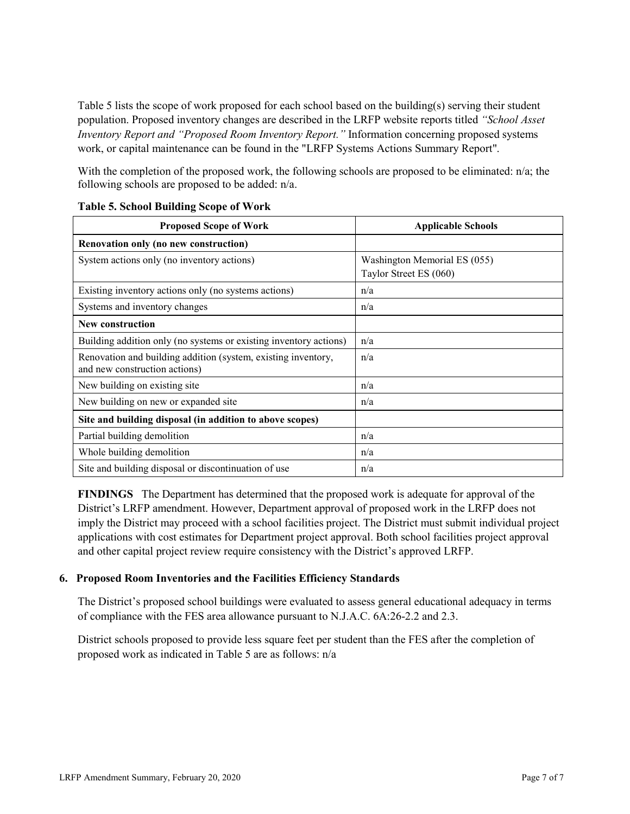Table 5 lists the scope of work proposed for each school based on the building(s) serving their student population. Proposed inventory changes are described in the LRFP website reports titled *"School Asset Inventory Report and "Proposed Room Inventory Report."* Information concerning proposed systems work, or capital maintenance can be found in the "LRFP Systems Actions Summary Report".

With the completion of the proposed work, the following schools are proposed to be eliminated: n/a; the following schools are proposed to be added: n/a.

| <b>Proposed Scope of Work</b>                                                                  | <b>Applicable Schools</b>                              |
|------------------------------------------------------------------------------------------------|--------------------------------------------------------|
| Renovation only (no new construction)                                                          |                                                        |
| System actions only (no inventory actions)                                                     | Washington Memorial ES (055)<br>Taylor Street ES (060) |
| Existing inventory actions only (no systems actions)                                           | n/a                                                    |
| Systems and inventory changes                                                                  | n/a                                                    |
| <b>New construction</b>                                                                        |                                                        |
| Building addition only (no systems or existing inventory actions)                              | n/a                                                    |
| Renovation and building addition (system, existing inventory,<br>and new construction actions) | n/a                                                    |
| New building on existing site                                                                  | n/a                                                    |
| New building on new or expanded site                                                           | n/a                                                    |
| Site and building disposal (in addition to above scopes)                                       |                                                        |
| Partial building demolition                                                                    | n/a                                                    |
| Whole building demolition                                                                      | n/a                                                    |
| Site and building disposal or discontinuation of use                                           | n/a                                                    |

#### **Table 5. School Building Scope of Work**

**FINDINGS** The Department has determined that the proposed work is adequate for approval of the District's LRFP amendment. However, Department approval of proposed work in the LRFP does not imply the District may proceed with a school facilities project. The District must submit individual project applications with cost estimates for Department project approval. Both school facilities project approval and other capital project review require consistency with the District's approved LRFP.

#### **6. Proposed Room Inventories and the Facilities Efficiency Standards**

The District's proposed school buildings were evaluated to assess general educational adequacy in terms of compliance with the FES area allowance pursuant to N.J.A.C. 6A:26-2.2 and 2.3.

District schools proposed to provide less square feet per student than the FES after the completion of proposed work as indicated in Table 5 are as follows: n/a